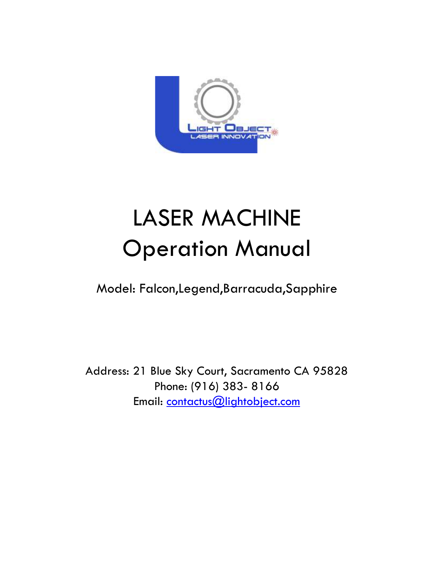

# LASER MACHINE Operation Manual

Model: Falcon,Legend,Barracuda,Sapphire

Address: 21 Blue Sky Court, Sacramento CA 95828 Phone: (916) 383- 8166 Email: contactus@lightobject.com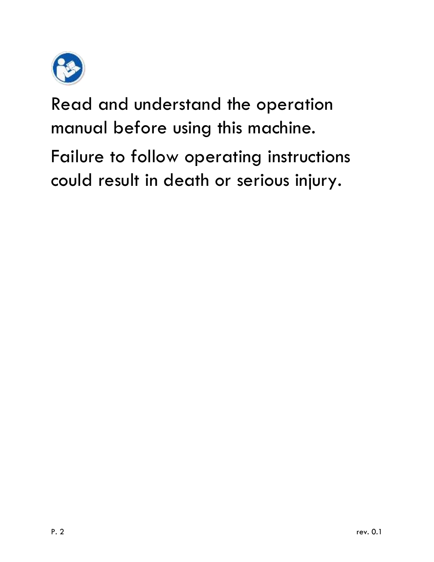

Read and understand the operation manual before using this machine.

Failure to follow operating instructions could result in death or serious injury.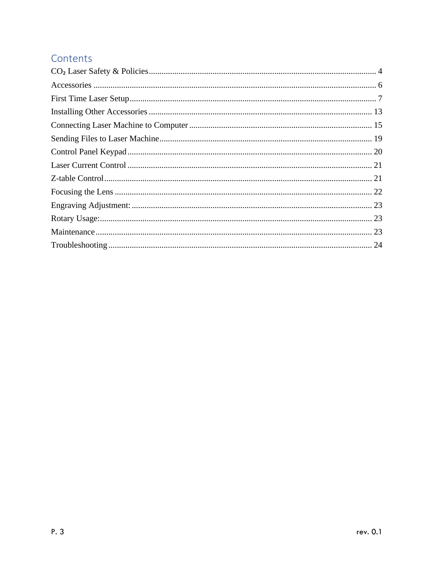#### Contents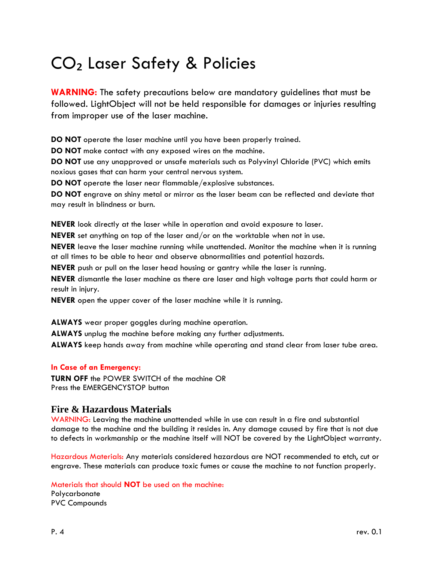### <span id="page-3-0"></span>CO₂ Laser Safety & Policies

**WARNING:** The safety precautions below are mandatory guidelines that must be followed. LightObject will not be held responsible for damages or injuries resulting from improper use of the laser machine.

**DO NOT** operate the laser machine until you have been properly trained.

**DO NOT** make contact with any exposed wires on the machine.

**DO NOT** use any unapproved or unsafe materials such as Polyvinyl Chloride (PVC) which emits noxious gases that can harm your central nervous system.

**DO NOT** operate the laser near flammable/explosive substances.

**DO NOT** engrave on shiny metal or mirror as the laser beam can be reflected and deviate that may result in blindness or burn.

**NEVER** look directly at the laser while in operation and avoid exposure to laser.

**NEVER** set anything on top of the laser and/or on the worktable when not in use.

**NEVER** leave the laser machine running while unattended. Monitor the machine when it is running at all times to be able to hear and observe abnormalities and potential hazards.

**NEVER** push or pull on the laser head housing or gantry while the laser is running.

**NEVER** dismantle the laser machine as there are laser and high voltage parts that could harm or result in injury.

**NEVER** open the upper cover of the laser machine while it is running.

**ALWAYS** wear proper goggles during machine operation.

**ALWAYS** unplug the machine before making any further adjustments.

**ALWAYS** keep hands away from machine while operating and stand clear from laser tube area.

#### **In Case of an Emergency:**

**TURN OFF** the POWER SWITCH of the machine OR Press the EMERGENCYSTOP button

#### **Fire & Hazardous Materials**

WARNING: Leaving the machine unattended while in use can result in a fire and substantial damage to the machine and the building it resides in. Any damage caused by fire that is not due to defects in workmanship or the machine itself will NOT be covered by the LightObject warranty.

Hazardous Materials: Any materials considered hazardous are NOT recommended to etch, cut or engrave. These materials can produce toxic fumes or cause the machine to not function properly.

Materials that should **NOT** be used on the machine:

Polycarbonate PVC Compounds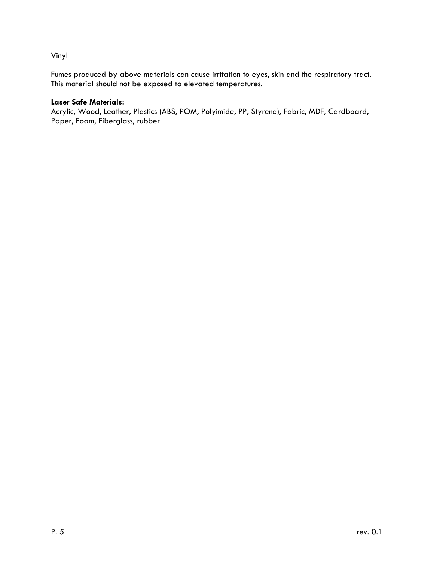#### Vinyl

Fumes produced by above materials can cause irritation to eyes, skin and the respiratory tract. This material should not be exposed to elevated temperatures.

#### **Laser Safe Materials:**

Acrylic, Wood, Leather, Plastics (ABS, POM, Polyimide, PP, Styrene), Fabric, MDF, Cardboard, Paper, Foam, Fiberglass, rubber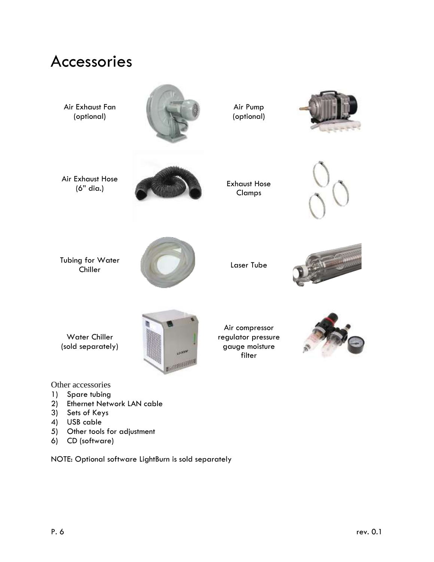<span id="page-5-0"></span>

- 1) Spare tubing
- 2) Ethernet Network LAN cable
- 3) Sets of Keys
- 4) USB cable
- 5) Other tools for adjustment
- 6) CD (software)

NOTE: Optional software LightBurn is sold separately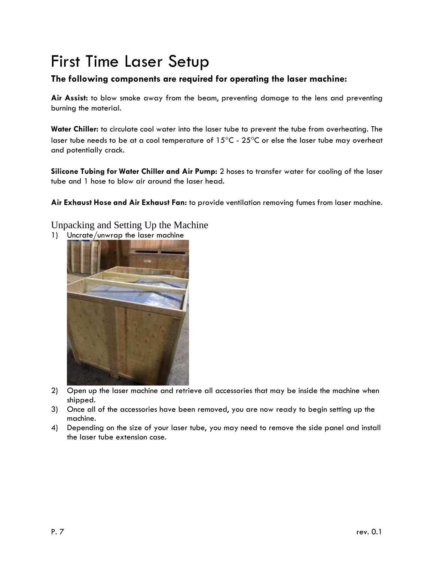## <span id="page-6-0"></span>First Time Laser Setup

#### **The following components are required for operating the laser machine:**

**Air Assist:** to blow smoke away from the beam, preventing damage to the lens and preventing burning the material.

**Water Chiller:** to circulate cool water into the laser tube to prevent the tube from overheating. The laser tube needs to be at a cool temperature of  $15^{\circ}$ C -  $25^{\circ}$ C or else the laser tube may overheat and potentially crack.

**Silicone Tubing for Water Chiller and Air Pump:** 2 hoses to transfer water for cooling of the laser tube and 1 hose to blow air around the laser head.

**Air Exhaust Hose and Air Exhaust Fan:** to provide ventilation removing fumes from laser machine.

Unpacking and Setting Up the Machine

1) Uncrate/unwrap the laser machine



- 2) Open up the laser machine and retrieve all accessories that may be inside the machine when shipped.
- 3) Once all of the accessories have been removed, you are now ready to begin setting up the machine.
- 4) Depending on the size of your laser tube, you may need to remove the side panel and install the laser tube extension case.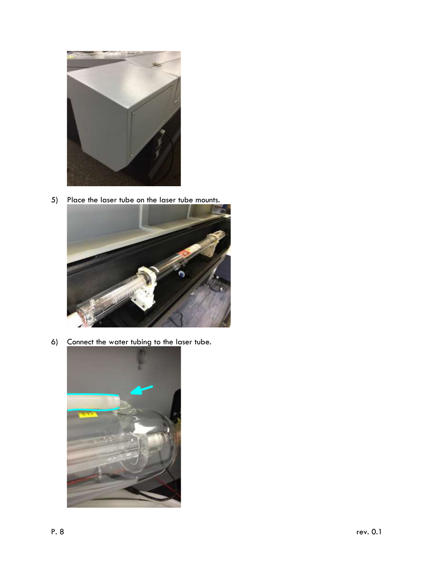

5) Place the laser tube on the laser tube mounts.



6) Connect the water tubing to the laser tube.

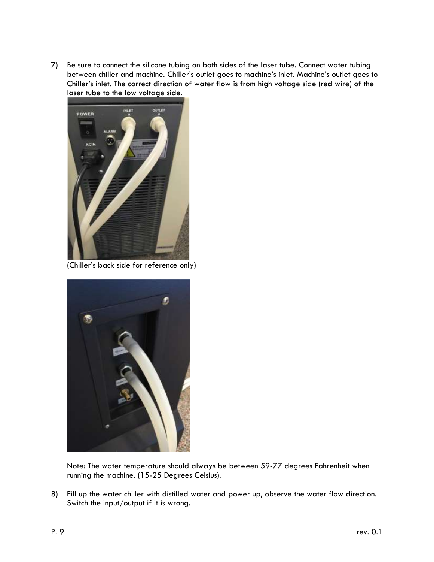7) Be sure to connect the silicone tubing on both sides of the laser tube. Connect water tubing between chiller and machine. Chiller's outlet goes to machine's inlet. Machine's outlet goes to Chiller's inlet. The correct direction of water flow is from high voltage side (red wire) of the laser tube to the low voltage side.



(Chiller's back side for reference only)



Note: The water temperature should always be between 59-77 degrees Fahrenheit when running the machine. (15-25 Degrees Celsius).

8) Fill up the water chiller with distilled water and power up, observe the water flow direction. Switch the input/output if it is wrong.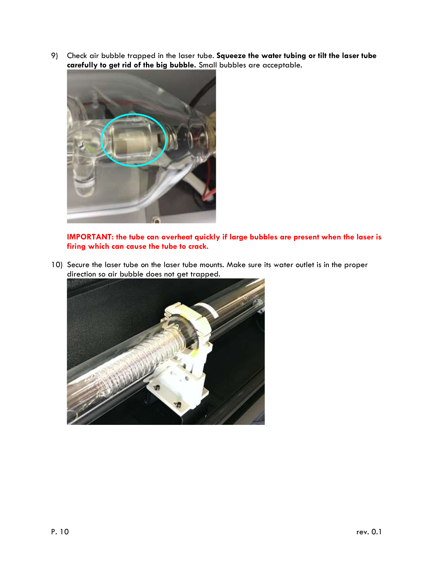9) Check air bubble trapped in the laser tube. **Squeeze the water tubing or tilt the laser tube carefully to get rid of the big bubble.** Small bubbles are acceptable.



**IMPORTANT: the tube can overheat quickly if large bubbles are present when the laser is firing which can cause the tube to crack.**

10) Secure the laser tube on the laser tube mounts. Make sure its water outlet is in the proper direction so air bubble does not get trapped.

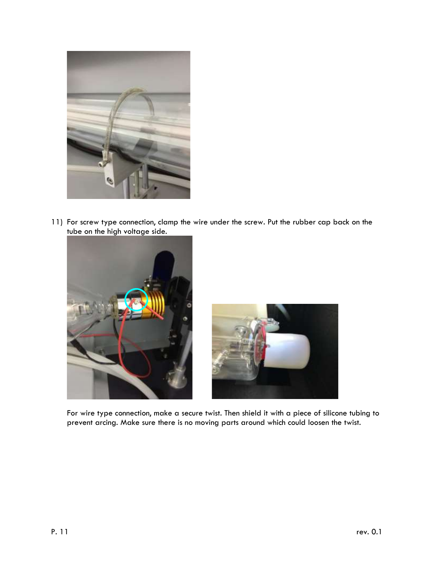

11) For screw type connection, clamp the wire under the screw. Put the rubber cap back on the tube on the high voltage side.





For wire type connection, make a secure twist. Then shield it with a piece of silicone tubing to prevent arcing. Make sure there is no moving parts around which could loosen the twist.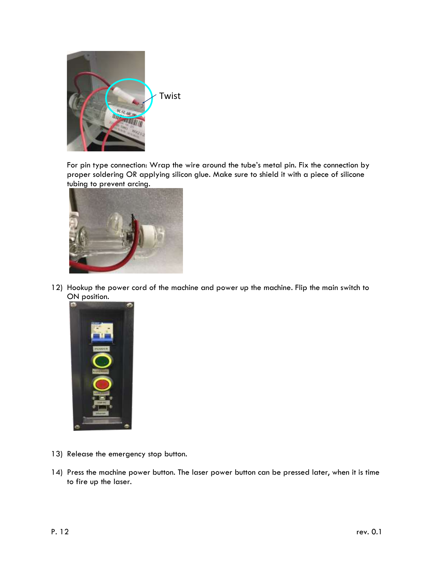

For pin type connection: Wrap the wire around the tube's metal pin. Fix the connection by proper soldering OR applying silicon glue. Make sure to shield it with a piece of silicone tubing to prevent arcing.



12) Hookup the power cord of the machine and power up the machine. Flip the main switch to ON position.



- 13) Release the emergency stop button.
- 14) Press the machine power button. The laser power button can be pressed later, when it is time to fire up the laser.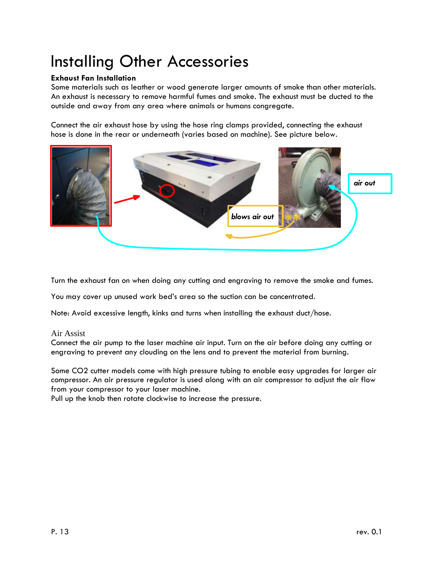## <span id="page-12-0"></span>Installing Other Accessories

#### **Exhaust Fan Installation**

Some materials such as leather or wood generate larger amounts of smoke than other materials. An exhaust is necessary to remove harmful fumes and smoke. The exhaust must be ducted to the outside and away from any area where animals or humans congregate.

Connect the air exhaust hose by using the hose ring clamps provided, connecting the exhaust hose is done in the rear or underneath (varies based on machine). See picture below.



Turn the exhaust fan on when doing any cutting and engraving to remove the smoke and fumes.

You may cover up unused work bed's area so the suction can be concentrated.

Note: Avoid excessive length, kinks and turns when installing the exhaust duct/hose.

#### Air Assist

Connect the air pump to the laser machine air input. Turn on the air before doing any cutting or engraving to prevent any clouding on the lens and to prevent the material from burning.

Some CO2 cutter models come with high pressure tubing to enable easy upgrades for larger air compressor. An air pressure regulator is used along with an air compressor to adjust the air flow from your compressor to your laser machine.

Pull up the knob then rotate clockwise to increase the pressure.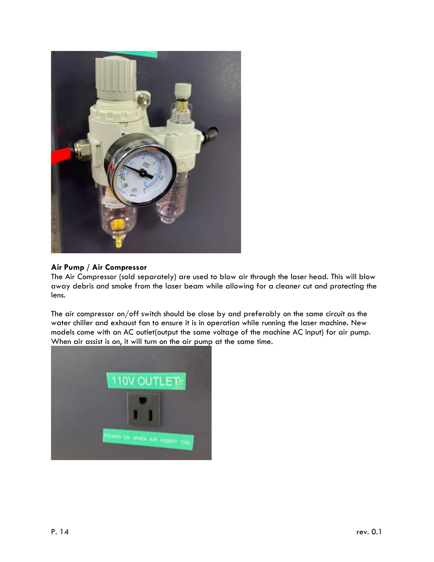

#### **Air Pump / Air Compressor**

The Air Compressor (sold separately) are used to blow air through the laser head. This will blow away debris and smoke from the laser beam while allowing for a cleaner cut and protecting the lens.

The air compressor on/off switch should be close by and preferably on the same circuit as the water chiller and exhaust fan to ensure it is in operation while running the laser machine. New models come with an AC outlet(output the same voltage of the machine AC input) for air pump. When air assist is on, it will turn on the air pump at the same time.

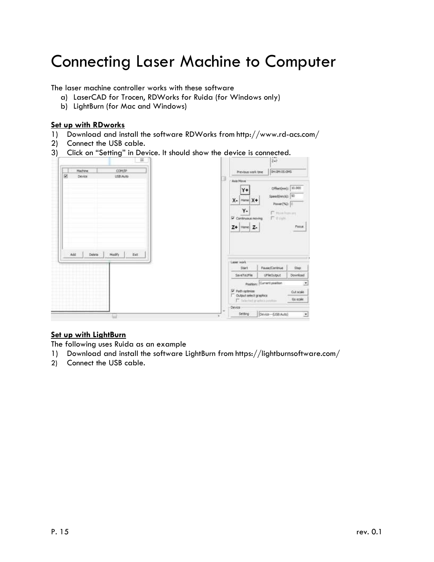### <span id="page-14-0"></span>Connecting Laser Machine to Computer

The laser machine controller works with these software

- a) LaserCAD for Trocen, RDWorks for Ruida (for Windows only)
- b) LightBurn (for Mac and Windows)

#### **Set up with RDworks**

- 1) Download and install the software RDWorks from http://www.rd-acs.com/
- 2) Connect the USB cable.
- 3) Click on "Setting" in Device. It should show the device is connected.



#### **Set up with LightBurn**

The following uses Ruida as an example

- 1) Download and install the software LightBurn from https://lightburnsoftware.com/
- 2) Connect the USB cable.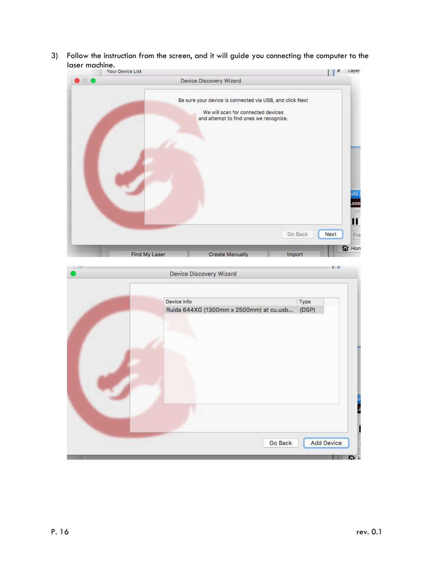3) Follow the instruction from the screen, and it will guide you connecting the computer to the laser machine.<br>Nour Device List



| Device Discovery Wizard                                | $\mathbf{I}$           |
|--------------------------------------------------------|------------------------|
| Device info<br>Ruida 644XG (1300mm x 2500mm) at cu.usb | Type<br>(DSP)          |
|                                                        |                        |
|                                                        |                        |
| Go Back                                                | <b>Add Device</b><br>n |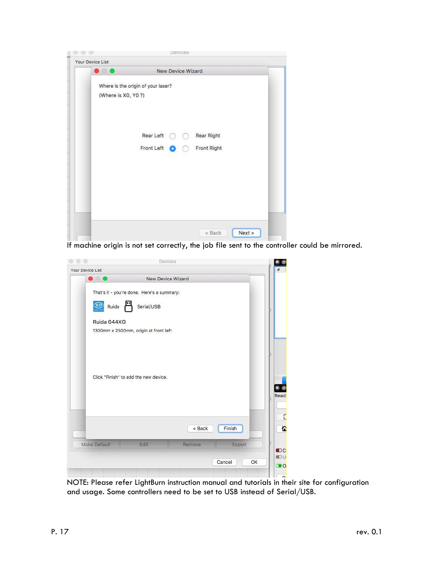

If machine origin is not set correctly, the job file sent to the controller could be mirrored.

| $\circ$             | Devices                                    |        |              |                      |
|---------------------|--------------------------------------------|--------|--------------|----------------------|
| Your Device List    |                                            |        |              | #                    |
| $\bullet$ $\bullet$ | New Device Wizard                          |        |              |                      |
|                     | That's it - you're done. Here's a summary: |        |              |                      |
| Ruida               | Serial/USB                                 |        |              |                      |
| Ruida 644XG         |                                            |        |              |                      |
|                     | 1300mm x 2500mm, origin at front left      |        |              |                      |
|                     |                                            |        |              |                      |
|                     |                                            |        |              |                      |
|                     |                                            |        |              |                      |
|                     |                                            |        |              |                      |
|                     | Click "Finish" to add the new device.      |        |              |                      |
|                     |                                            |        |              | <b>Ready</b>         |
|                     |                                            |        |              |                      |
|                     |                                            |        |              |                      |
|                     |                                            |        |              |                      |
|                     |                                            |        |              |                      |
|                     |                                            | < Back | Finish       |                      |
| Make Default        | Edit                                       | Remove | Export       |                      |
|                     |                                            |        |              | <b>DC</b>            |
|                     |                                            |        | Cancel<br>OK | <b>IDU</b><br>$\Box$ |

NOTE: Please refer LightBurn instruction manual and tutorials in their site for configuration and usage. Some controllers need to be set to USB instead of Serial/USB.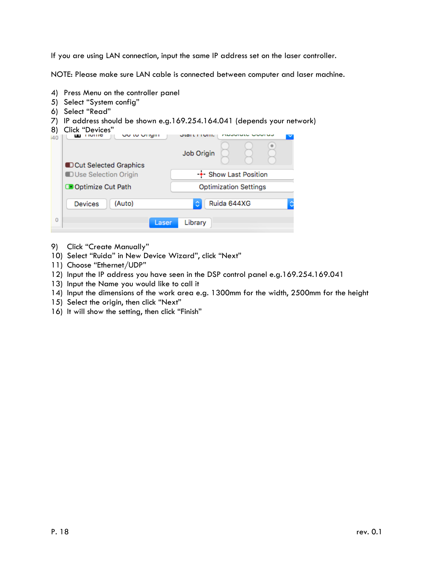If you are using LAN connection, input the same IP address set on the laser controller.

NOTE: Please make sure LAN cable is connected between computer and laser machine.

- 4) Press Menu on the controller panel
- 5) Select "System config"
- 6) Select "Read"
- 7) IP address should be shown e.g.169.254.164.041 (depends your network)

| 8)<br>i40 | Click "Devices"<br>יוועו ועי טוי<br><b>TIOTHC</b><br>ш        | Job Origin                   |  |
|-----------|---------------------------------------------------------------|------------------------------|--|
|           | <b>DCut Selected Graphics</b><br><b>DUse Selection Origin</b> | -+- Show Last Position       |  |
|           | Optimize Cut Path                                             | <b>Optimization Settings</b> |  |
|           | (Auto)<br><b>Devices</b>                                      | Ruida 644XG<br>٥             |  |
| Ō         | Laser                                                         | Library                      |  |

- 9) Click "Create Manually"
- 10) Select "Ruida" in New Device Wizard", click "Next"
- 11) Choose "Ethernet/UDP"
- 12) Input the IP address you have seen in the DSP control panel e.g.169.254.169.041
- 13) Input the Name you would like to call it
- 14) Input the dimensions of the work area e.g. 1300mm for the width, 2500mm for the height
- 15) Select the origin, then click "Next"
- 16) It will show the setting, then click "Finish"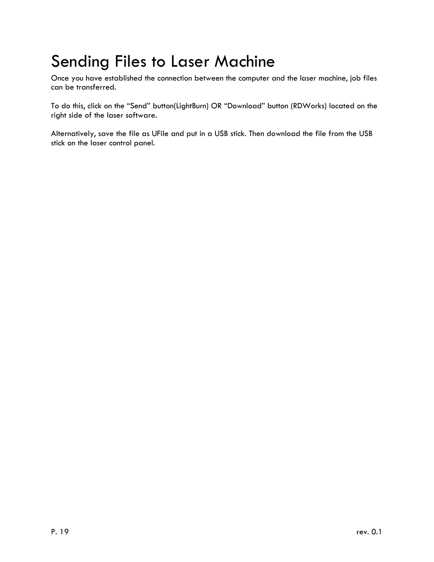### <span id="page-18-0"></span>Sending Files to Laser Machine

Once you have established the connection between the computer and the laser machine, job files can be transferred.

To do this, click on the "Send" button(LightBurn) OR "Download" button (RDWorks) located on the right side of the laser software.

Alternatively, save the file as UFile and put in a USB stick. Then download the file from the USB stick on the laser control panel.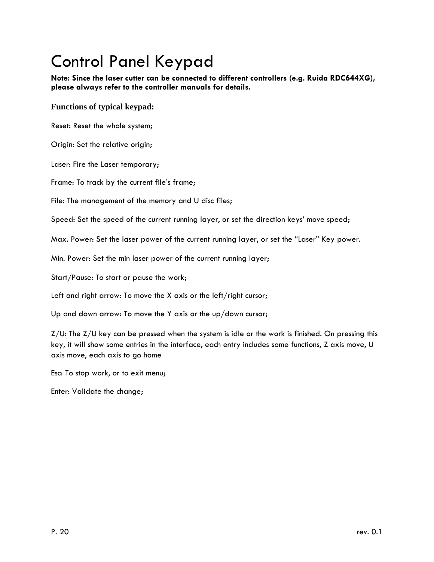# <span id="page-19-0"></span>Control Panel Keypad

**Note: Since the laser cutter can be connected to different controllers (e.g. Ruida RDC644XG), please always refer to the controller manuals for details.**

#### **Functions of typical keypad:**

Reset: Reset the whole system;

Origin: Set the relative origin;

Laser: Fire the Laser temporary;

Frame: To track by the current file's frame;

File: The management of the memory and U disc files;

Speed: Set the speed of the current running layer, or set the direction keys' move speed;

Max. Power: Set the laser power of the current running layer, or set the "Laser" Key power.

Min. Power: Set the min laser power of the current running layer;

Start/Pause: To start or pause the work;

Left and right arrow: To move the X axis or the left/right cursor;

Up and down arrow: To move the Y axis or the up/down cursor;

 $Z/U$ : The  $Z/U$  key can be pressed when the system is idle or the work is finished. On pressing this key, it will show some entries in the interface, each entry includes some functions, Z axis move, U axis move, each axis to go home

Esc: To stop work, or to exit menu;

Enter: Validate the change;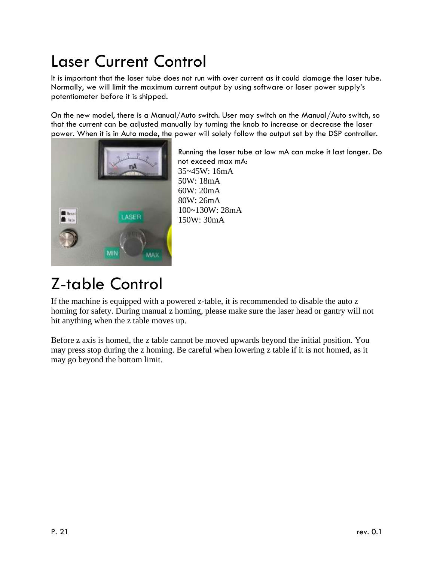## <span id="page-20-0"></span>Laser Current Control

It is important that the laser tube does not run with over current as it could damage the laser tube. Normally, we will limit the maximum current output by using software or laser power supply's potentiometer before it is shipped.

On the new model, there is a Manual/Auto switch. User may switch on the Manual/Auto switch, so that the current can be adjusted manually by turning the knob to increase or decrease the laser power. When it is in Auto mode, the power will solely follow the output set by the DSP controller.



Running the laser tube at low mA can make it last longer. Do not exceed max mA: 35~45W: 16mA 50W: 18mA 60W: 20mA 80W: 26mA 100~130W: 28mA 150W: 30mA

### <span id="page-20-1"></span>Z-table Control

If the machine is equipped with a powered z-table, it is recommended to disable the auto z homing for safety. During manual z homing, please make sure the laser head or gantry will not hit anything when the z table moves up.

Before z axis is homed, the z table cannot be moved upwards beyond the initial position. You may press stop during the z homing. Be careful when lowering z table if it is not homed, as it may go beyond the bottom limit.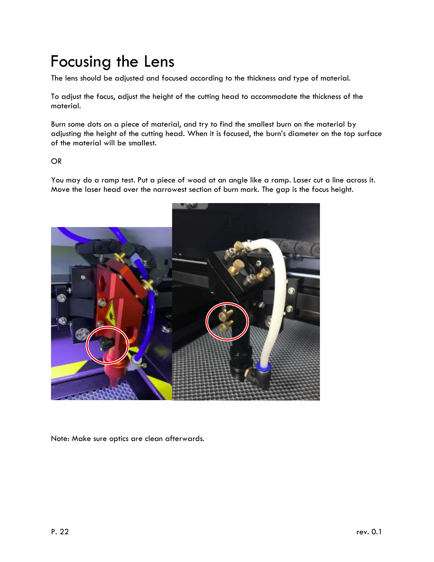### <span id="page-21-0"></span>Focusing the Lens

The lens should be adjusted and focused according to the thickness and type of material.

To adjust the focus, adjust the height of the cutting head to accommodate the thickness of the material.

Burn some dots on a piece of material, and try to find the smallest burn on the material by adjusting the height of the cutting head. When it is focused, the burn's diameter on the top surface of the material will be smallest.

#### OR

You may do a ramp test. Put a piece of wood at an angle like a ramp. Laser cut a line across it. Move the laser head over the narrowest section of burn mark. The gap is the focus height.



Note: Make sure optics are clean afterwards.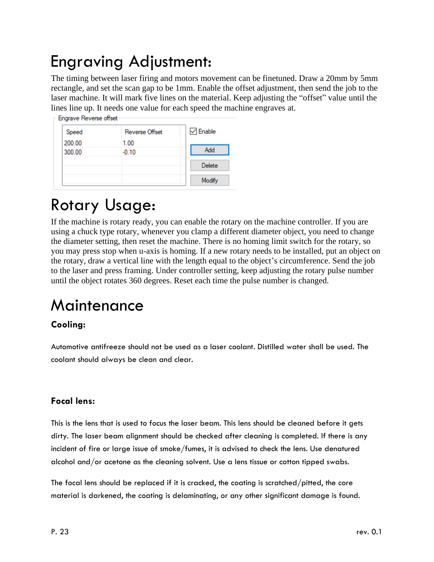### <span id="page-22-0"></span>Engraving Adjustment:

The timing between laser firing and motors movement can be finetuned. Draw a 20mm by 5mm rectangle, and set the scan gap to be 1mm. Enable the offset adjustment, then send the job to the laser machine. It will mark five lines on the material. Keep adjusting the "offset" value until the lines line up. It needs one value for each speed the machine engraves at.

| Add    |
|--------|
| Delete |
|        |

### <span id="page-22-1"></span>Rotary Usage:

If the machine is rotary ready, you can enable the rotary on the machine controller. If you are using a chuck type rotary, whenever you clamp a different diameter object, you need to change the diameter setting, then reset the machine. There is no homing limit switch for the rotary, so you may press stop when u-axis is homing. If a new rotary needs to be installed, put an object on the rotary, draw a vertical line with the length equal to the object's circumference. Send the job to the laser and press framing. Under controller setting, keep adjusting the rotary pulse number until the object rotates 360 degrees. Reset each time the pulse number is changed.

### <span id="page-22-2"></span>**Maintenance**

#### **Cooling:**

Automotive antifreeze should not be used as a laser coolant. Distilled water shall be used. The coolant should always be clean and clear.

#### **Focal lens:**

This is the lens that is used to focus the laser beam. This lens should be cleaned before it gets dirty. The laser beam alignment should be checked after cleaning is completed. If there is any incident of fire or large issue of smoke/fumes, it is advised to check the lens. Use denatured alcohol and/or acetone as the cleaning solvent. Use a lens tissue or cotton tipped swabs.

The focal lens should be replaced if it is cracked, the coating is scratched/pitted, the core material is darkened, the coating is delaminating, or any other significant damage is found.